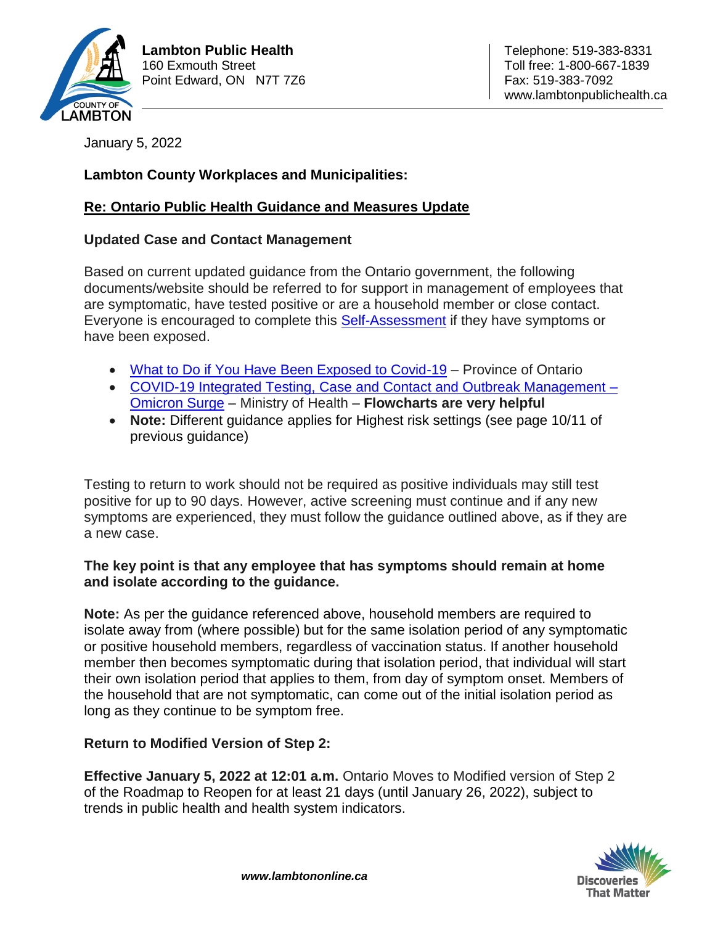

January 5, 2022

# **Lambton County Workplaces and Municipalities:**

## **Re: Ontario Public Health Guidance and Measures Update**

### **Updated Case and Contact Management**

Based on current updated guidance from the Ontario government, the following documents/website should be referred to for support in management of employees that are symptomatic, have tested positive or are a household member or close contact. Everyone is encouraged to complete this [Self-Assessment](https://covid-19.ontario.ca/self-assessment/) if they have symptoms or have been exposed.

- [What to Do if You Have Been Exposed to Covid-19](https://covid-19.ontario.ca/exposed) Province of Ontario
- [COVID-19 Integrated Testing, Case and Contact and Outbreak Management –](https://www.health.gov.on.ca/en/pro/programs/publichealth/coronavirus/docs/contact_mngmt/management_cases_contacts_omicron.pdf) [Omicron Surge](https://www.health.gov.on.ca/en/pro/programs/publichealth/coronavirus/docs/contact_mngmt/management_cases_contacts_omicron.pdf) – Ministry of Health – **Flowcharts are very helpful**
- **Note:** Different guidance applies for Highest risk settings (see page 10/11 of previous guidance)

Testing to return to work should not be required as positive individuals may still test positive for up to 90 days. However, active screening must continue and if any new symptoms are experienced, they must follow the guidance outlined above, as if they are a new case.

### **The key point is that any employee that has symptoms should remain at home and isolate according to the guidance.**

**Note:** As per the guidance referenced above, household members are required to isolate away from (where possible) but for the same isolation period of any symptomatic or positive household members, regardless of vaccination status. If another household member then becomes symptomatic during that isolation period, that individual will start their own isolation period that applies to them, from day of symptom onset. Members of the household that are not symptomatic, can come out of the initial isolation period as long as they continue to be symptom free.

## **Return to Modified Version of Step 2:**

**Effective January 5, 2022 at 12:01 a.m.** Ontario Moves to Modified version of Step 2 of the Roadmap to Reopen for at least 21 days (until January 26, 2022), subject to trends in public health and health system indicators.